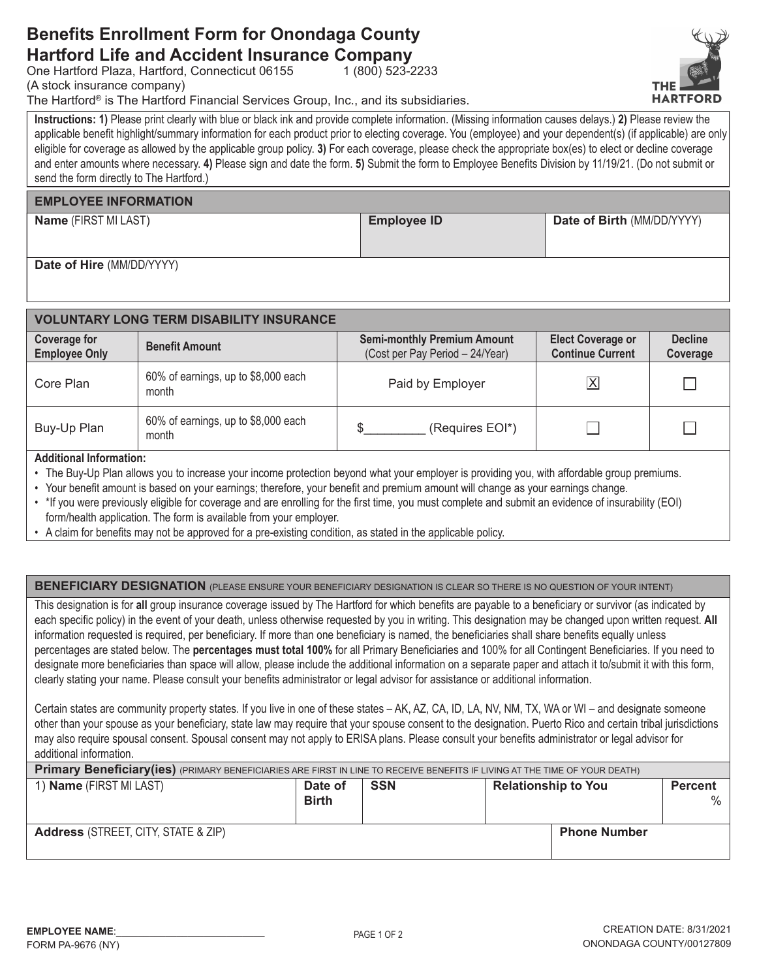## **Benefits Enrollment Form for Onondaga County Hartford Life and Accident Insurance Company**

One Hartford Plaza, Hartford, Connecticut 06155

(A stock insurance company)

The Hartford® is The Hartford Financial Services Group, Inc., and its subsidiaries.

Instructions: 1) Please print clearly with blue or black ink and provide complete information. (Missing information causes delays.) 2) Please review the applicable benefit highlight/summary information for each product prior to electing coverage. You (employee) and your dependent(s) (if applicable) are only eligible for coverage as allowed by the applicable group policy. 3) For each coverage, please check the appropriate box(es) to elect or decline coverage and enter amounts where necessary. 4) Please sign and date the form. 5) Submit the form to Employee Benefits Division by 11/19/21. (Do not submit or send the form directly to The Hartford.)

 $1(800)$  523-2233

## **EMPLOYEE INFORMATION**

Name (FIRST MI LAST)

**Employee ID** 

Date of Birth (MM/DD/YYYY)

Date of Hire (MM/DD/YYYY)

| <b>VOLUNTARY LONG TERM DISABILITY INSURANCE</b> |                                              |                                                                       |                                                     |                            |  |  |  |
|-------------------------------------------------|----------------------------------------------|-----------------------------------------------------------------------|-----------------------------------------------------|----------------------------|--|--|--|
| Coverage for<br><b>Employee Only</b>            | <b>Benefit Amount</b>                        | <b>Semi-monthly Premium Amount</b><br>(Cost per Pay Period - 24/Year) | <b>Elect Coverage or</b><br><b>Continue Current</b> | <b>Decline</b><br>Coverage |  |  |  |
| Core Plan                                       | 60% of earnings, up to \$8,000 each<br>month | Paid by Employer                                                      | $\overline{\mathsf{X}}$                             |                            |  |  |  |
| Buy-Up Plan                                     | 60% of earnings, up to \$8,000 each<br>month | (Requires EOI*)                                                       |                                                     | Г                          |  |  |  |

## **Additional Information:**

• The Buy-Up Plan allows you to increase your income protection beyond what your employer is providing you, with affordable group premiums.

• Your benefit amount is based on your earnings; therefore, your benefit and premium amount will change as your earnings change.

| . * If you were previously eligible for coverage and are enrolling for the first time, you must complete and submit an evidence of insurability (EOI) |  |  |  |  |
|-------------------------------------------------------------------------------------------------------------------------------------------------------|--|--|--|--|
| form/health application. The form is available from your employer.                                                                                    |  |  |  |  |

• A claim for benefits may not be approved for a pre-existing condition, as stated in the applicable policy,

**BENEFICIARY DESIGNATION** (PLEASE ENSURE YOUR BENEFICIARY DESIGNATION IS CLEAR SO THERE IS NO QUESTION OF YOUR INTENT)

This designation is for all group insurance coverage issued by The Hartford for which benefits are payable to a beneficiary or survivor (as indicated by each specific policy) in the event of your death, unless otherwise requested by you in writing. This designation may be changed upon written request. All information requested is required, per beneficiary. If more than one beneficiary is named, the beneficiaries shall share benefits equally unless percentages are stated below. The **percentages must total 100%** for all Primary Beneficiaries and 100% for all Contingent Beneficiaries. If you need to designate more beneficiaries than space will allow, please include the additional information on a separate paper and attach it to/submit it with this form, clearly stating your name. Please consult your benefits administrator or legal advisor for assistance or additional information.

Certain states are community property states. If you live in one of these states - AK, AZ, CA, ID, LA, NV, NM, TX, WA or WI - and designate someone other than your spouse as your beneficiary, state law may require that your spouse consent to the designation. Puerto Rico and certain tribal jurisdictions may also require spousal consent. Spousal consent may not apply to ERISA plans. Please consult your benefits administrator or legal advisor for additional information

| Primary Beneficiary(ies) (PRIMARY BENEFICIARIES ARE FIRST IN LINE TO RECEIVE BENEFITS IF LIVING AT THE TIME OF YOUR DEATH) |                         |            |                            |                     |                     |
|----------------------------------------------------------------------------------------------------------------------------|-------------------------|------------|----------------------------|---------------------|---------------------|
| 1) <b>Name</b> (FIRST MI LAST)                                                                                             | Date of<br><b>Birth</b> | <b>SSN</b> | <b>Relationship to You</b> |                     | <b>Percent</b><br>% |
| <b>Address (STREET, CITY, STATE &amp; ZIP)</b>                                                                             |                         |            |                            | <b>Phone Number</b> |                     |

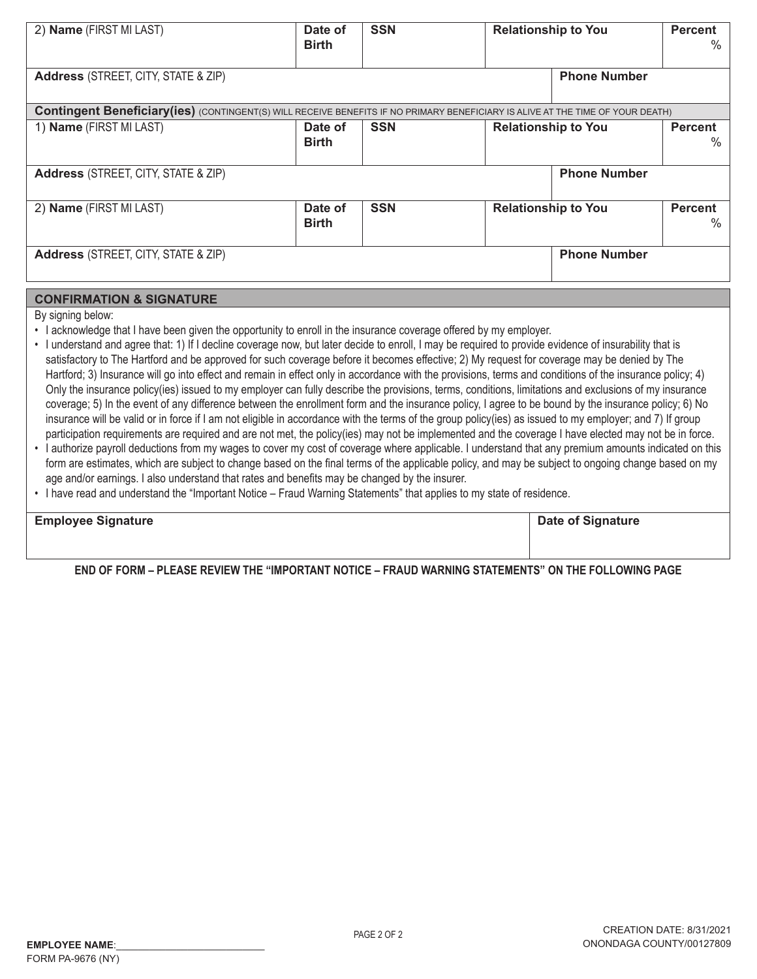| 2) Name (FIRST MI LAST)                                                                                                                | Date of<br><b>Birth</b> | <b>SSN</b> | <b>Relationship to You</b> |                     | <b>Percent</b><br>$\%$ |
|----------------------------------------------------------------------------------------------------------------------------------------|-------------------------|------------|----------------------------|---------------------|------------------------|
| <b>Address (STREET, CITY, STATE &amp; ZIP)</b>                                                                                         | <b>Phone Number</b>     |            |                            |                     |                        |
| <b>Contingent Beneficiary (ies)</b> (CONTINGENT(S) WILL RECEIVE BENEFITS IF NO PRIMARY BENEFICIARY IS ALIVE AT THE TIME OF YOUR DEATH) |                         |            |                            |                     |                        |
| 1) Name (FIRST MI LAST)                                                                                                                | Date of<br><b>Birth</b> | <b>SSN</b> | <b>Relationship to You</b> |                     | <b>Percent</b><br>$\%$ |
| <b>Address (STREET, CITY, STATE &amp; ZIP)</b>                                                                                         |                         |            |                            | <b>Phone Number</b> |                        |
| 2) Name (FIRST MI LAST)                                                                                                                | Date of<br><b>Birth</b> | <b>SSN</b> | <b>Relationship to You</b> |                     | <b>Percent</b><br>$\%$ |
| <b>Address (STREET, CITY, STATE &amp; ZIP)</b>                                                                                         |                         |            |                            | <b>Phone Number</b> |                        |
|                                                                                                                                        |                         |            |                            |                     |                        |

## **CONFIRMATION & SIGNATURE**

By signing below:

- I acknowledge that I have been given the opportunity to enroll in the insurance coverage offered by my employer.
- · I understand and agree that: 1) If I decline coverage now, but later decide to enroll, I may be required to provide evidence of insurability that is satisfactory to The Hartford and be approved for such coverage before it becomes effective; 2) My request for coverage may be denied by The Hartford; 3) Insurance will go into effect and remain in effect only in accordance with the provisions, terms and conditions of the insurance policy; 4) Only the insurance policy(ies) issued to my employer can fully describe the provisions, terms, conditions, limitations and exclusions of my insurance coverage; 5) In the event of any difference between the enrollment form and the insurance policy, I agree to be bound by the insurance policy; 6) No insurance will be valid or in force if I am not eligible in accordance with the terms of the group policy(ies) as issued to my employer; and 7) If group participation requirements are required and are not met, the policy(ies) may not be implemented and the coverage I have elected may not be in force.
- · I authorize payroll deductions from my wages to cover my cost of coverage where applicable. I understand that any premium amounts indicated on this form are estimates, which are subject to change based on the final terms of the applicable policy, and may be subject to ongoing change based on my age and/or earnings. I also understand that rates and benefits may be changed by the insurer.
- . I have read and understand the "Important Notice Fraud Warning Statements" that applies to my state of residence.

| <b>Employee Signature</b> | <b>Date of Signature</b> |
|---------------------------|--------------------------|
|                           |                          |

END OF FORM – PLEASE REVIEW THE "IMPORTANT NOTICE – FRAUD WARNING STATEMENTS" ON THE FOLLOWING PAGE